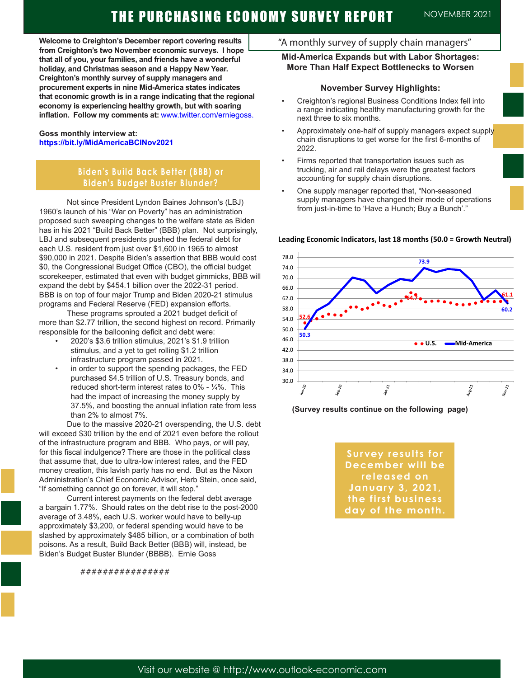**Welcome to Creighton's December report covering results from Creighton's two November economic surveys. I hope that all of you, your families, and friends have a wonderful holiday, and Christmas season and a Happy New Year. Creighton's monthly survey of supply managers and procurement experts in nine Mid-America states indicates that economic growth is in a range indicating that the regional economy is experiencing healthy growth, but with soaring inflation. Follow my comments at:** www.twitter.com/erniegoss.

#### **Goss monthly interview at: https://bit.ly/MidAmericaBCINov2021**

## **Biden's Build Back Better (BBB) or Biden's Budget Buster Blunder?**

Not since President Lyndon Baines Johnson's (LBJ) 1960's launch of his "War on Poverty" has an administration proposed such sweeping changes to the welfare state as Biden has in his 2021 "Build Back Better" (BBB) plan. Not surprisingly, LBJ and subsequent presidents pushed the federal debt for each U.S. resident from just over \$1,600 in 1965 to almost \$90,000 in 2021. Despite Biden's assertion that BBB would cost \$0, the Congressional Budget Office (CBO), the official budget scorekeeper, estimated that even with budget gimmicks, BBB will expand the debt by \$454.1 billion over the 2022-31 period. BBB is on top of four major Trump and Biden 2020-21 stimulus programs and Federal Reserve (FED) expansion efforts.

These programs sprouted a 2021 budget deficit of more than \$2.77 trillion, the second highest on record. Primarily responsible for the ballooning deficit and debt were:

- 2020's \$3.6 trillion stimulus, 2021's \$1.9 trillion stimulus, and a yet to get rolling \$1.2 trillion infrastructure program passed in 2021.
- in order to support the spending packages, the FED purchased \$4.5 trillion of U.S. Treasury bonds, and reduced short-term interest rates to 0% - ¼%. This had the impact of increasing the money supply by 37.5%, and boosting the annual inflation rate from less than 2% to almost 7%.

Due to the massive 2020-21 overspending, the U.S. debt will exceed \$30 trillion by the end of 2021 even before the rollout of the infrastructure program and BBB. Who pays, or will pay, for this fiscal indulgence? There are those in the political class that assume that, due to ultra-low interest rates, and the FED money creation, this lavish party has no end. But as the Nixon Administration's Chief Economic Advisor, Herb Stein, once said, "If something cannot go on forever, it will stop."

Current interest payments on the federal debt average a bargain 1.77%. Should rates on the debt rise to the post-2000 average of 3.48%, each U.S. worker would have to belly-up approximately \$3,200, or federal spending would have to be slashed by approximately \$485 billion, or a combination of both poisons. As a result, Build Back Better (BBB) will, instead, be Biden's Budget Buster Blunder (BBBB). Ernie Goss

################

## "A monthly survey of supply chain managers"

## **Mid-America Expands but with Labor Shortages: More Than Half Expect Bottlenecks to Worsen**

#### **November Survey Highlights:**

- Creighton's regional Business Conditions Index fell into a range indicating healthy manufacturing growth for the next three to six months.
- Approximately one-half of supply managers expect supply chain disruptions to get worse for the first 6-months of 2022.
- Firms reported that transportation issues such as trucking, air and rail delays were the greatest factors accounting for supply chain disruptions.
- One supply manager reported that, "Non-seasoned supply managers have changed their mode of operations from just-in-time to 'Have a Hunch; Buy a Bunch'."



#### **Leading Economic Indicators, last 18 months (50.0 = Growth Neutral)**

**(Survey results continue on the following page)**

**Survey results for December will be released on January 3, 2021, the first business day of the month.**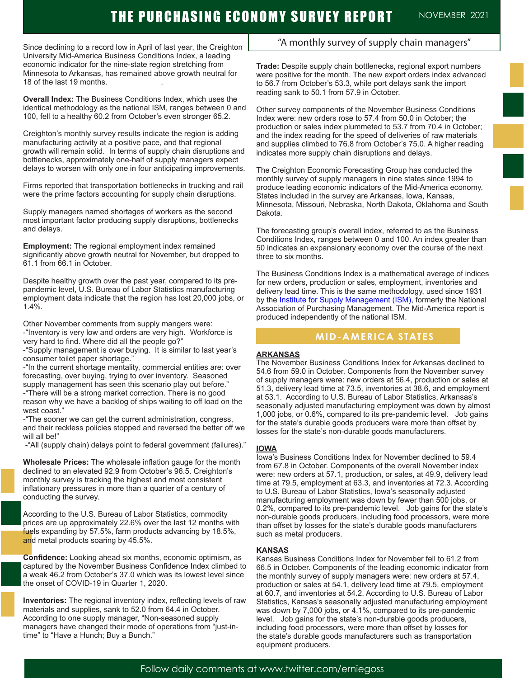Since declining to a record low in April of last year, the Creighton University Mid-America Business Conditions Index, a leading economic indicator for the nine-state region stretching from Minnesota to Arkansas, has remained above growth neutral for 18 of the last 19 months.

**Overall Index:** The Business Conditions Index, which uses the identical methodology as the national ISM, ranges between 0 and 100, fell to a healthy 60.2 from October's even stronger 65.2.

Creighton's monthly survey results indicate the region is adding manufacturing activity at a positive pace, and that regional growth will remain solid. In terms of supply chain disruptions and bottlenecks, approximately one-half of supply managers expect delays to worsen with only one in four anticipating improvements.

Firms reported that transportation bottlenecks in trucking and rail were the prime factors accounting for supply chain disruptions.

Supply managers named shortages of workers as the second most important factor producing supply disruptions, bottlenecks and delays.

**Employment:** The regional employment index remained significantly above growth neutral for November, but dropped to 61.1 from 66.1 in October.

Despite healthy growth over the past year, compared to its prepandemic level, U.S. Bureau of Labor Statistics manufacturing employment data indicate that the region has lost 20,000 jobs, or 1.4%.

Other November comments from supply mangers were:

-"Inventory is very low and orders are very high. Workforce is very hard to find. Where did all the people go?"

-"Supply management is over buying. It is similar to last year's consumer toilet paper shortage."

-"In the current shortage mentality, commercial entities are: over forecasting, over buying, trying to over inventory. Seasoned supply management has seen this scenario play out before." -"There will be a strong market correction. There is no good reason why we have a backlog of ships waiting to off load on the west coast."

-"The sooner we can get the current administration, congress, and their reckless policies stopped and reversed the better off we will all be!"

-"All (supply chain) delays point to federal government (failures)."

**Wholesale Prices:** The wholesale inflation gauge for the month declined to an elevated 92.9 from October's 96.5. Creighton's monthly survey is tracking the highest and most consistent inflationary pressures in more than a quarter of a century of conducting the survey.

According to the U.S. Bureau of Labor Statistics, commodity prices are up approximately 22.6% over the last 12 months with fuels expanding by 57.5%, farm products advancing by 18.5%, and metal products soaring by 45.5%.

**Confidence:** Looking ahead six months, economic optimism, as captured by the November Business Confidence Index climbed to a weak 46.2 from October's 37.0 which was its lowest level since the onset of COVID-19 in Quarter 1, 2020.

**Inventories:** The regional inventory index, reflecting levels of raw materials and supplies, sank to 52.0 from 64.4 in October. According to one supply manager, "Non-seasoned supply managers have changed their mode of operations from "just-intime" to "Have a Hunch; Buy a Bunch."

## "A monthly survey of supply chain managers"

**Trade:** Despite supply chain bottlenecks, regional export numbers were positive for the month. The new export orders index advanced to 56.7 from October's 53.3, while port delays sank the import reading sank to 50.1 from 57.9 in October.

Other survey components of the November Business Conditions Index were: new orders rose to 57.4 from 50.0 in October; the production or sales index plummeted to 53.7 from 70.4 in October; and the index reading for the speed of deliveries of raw materials and supplies climbed to 76.8 from October's 75.0. A higher reading indicates more supply chain disruptions and delays.

The Creighton Economic Forecasting Group has conducted the monthly survey of supply managers in nine states since 1994 to produce leading economic indicators of the Mid-America economy. States included in the survey are Arkansas, Iowa, Kansas, Minnesota, Missouri, Nebraska, North Dakota, Oklahoma and South Dakota.

The forecasting group's overall index, referred to as the Business Conditions Index, ranges between 0 and 100. An index greater than 50 indicates an expansionary economy over the course of the next three to six months.

The Business Conditions Index is a mathematical average of indices for new orders, production or sales, employment, inventories and delivery lead time. This is the same methodology, used since 1931 by the Institute for Supply Management (ISM), formerly the National Association of Purchasing Management. The Mid-America report is produced independently of the national ISM.

## **MID-AMERICA STATES**

#### **ARKANSAS**

The November Business Conditions Index for Arkansas declined to 54.6 from 59.0 in October. Components from the November survey of supply managers were: new orders at 56.4, production or sales at 51.3, delivery lead time at 73.5, inventories at 38.6, and employment at 53.1. According to U.S. Bureau of Labor Statistics, Arkansas's seasonally adjusted manufacturing employment was down by almost 1,000 jobs, or 0.6%, compared to its pre-pandemic level. Job gains for the state's durable goods producers were more than offset by losses for the state's non-durable goods manufacturers.

#### **IOWA**

Iowa's Business Conditions Index for November declined to 59.4 from 67.8 in October. Components of the overall November index were: new orders at 57.1, production, or sales, at 49.9, delivery lead time at 79.5, employment at 63.3, and inventories at 72.3. According to U.S. Bureau of Labor Statistics, Iowa's seasonally adjusted manufacturing employment was down by fewer than 500 jobs, or 0.2%, compared to its pre-pandemic level. Job gains for the state's non-durable goods producers, including food processors, were more than offset by losses for the state's durable goods manufacturers such as metal producers.

#### **KANSAS**

Kansas Business Conditions Index for November fell to 61.2 from 66.5 in October. Components of the leading economic indicator from the monthly survey of supply managers were: new orders at 57.4, production or sales at 54.1, delivery lead time at 79.5, employment at 60.7, and inventories at 54.2. According to U.S. Bureau of Labor Statistics, Kansas's seasonally adjusted manufacturing employment was down by 7,000 jobs, or 4.1%, compared to its pre-pandemic level. Job gains for the state's non-durable goods producers, including food processors, were more than offset by losses for the state's durable goods manufacturers such as transportation equipment producers.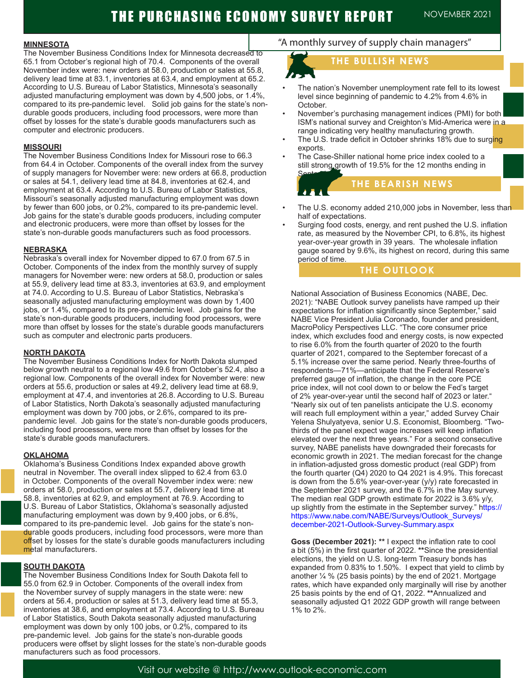#### **MINNESOTA**

The November Business Conditions Index for Minnesota decreased to 65.1 from October's regional high of 70.4. Components of the overall November index were: new orders at 58.0, production or sales at 55.8, delivery lead time at 83.1, inventories at 63.4, and employment at 65.2. According to U.S. Bureau of Labor Statistics, Minnesota's seasonally adjusted manufacturing employment was down by 4,500 jobs, or 1.4%, compared to its pre-pandemic level. Solid job gains for the state's nondurable goods producers, including food processors, were more than offset by losses for the state's durable goods manufacturers such as computer and electronic producers.

#### **MISSOURI**

The November Business Conditions Index for Missouri rose to 66.3 from 64.4 in October. Components of the overall index from the survey of supply managers for November were: new orders at 66.8, production or sales at 54.1, delivery lead time at 84.8, inventories at 62.4, and employment at 63.4. According to U.S. Bureau of Labor Statistics, Missouri's seasonally adjusted manufacturing employment was down by fewer than 600 jobs, or 0.2%, compared to its pre-pandemic level. Job gains for the state's durable goods producers, including computer and electronic producers, were more than offset by losses for the state's non-durable goods manufacturers such as food processors.

#### **NEBRASKA**

Nebraska's overall index for November dipped to 67.0 from 67.5 in October. Components of the index from the monthly survey of supply managers for November were: new orders at 58.0, production or sales at 55.9, delivery lead time at 83.3, inventories at 63.9, and employment at 74.0. According to U.S. Bureau of Labor Statistics, Nebraska's seasonally adjusted manufacturing employment was down by 1,400 jobs, or 1.4%, compared to its pre-pandemic level. Job gains for the state's non-durable goods producers, including food processors, were more than offset by losses for the state's durable goods manufacturers such as computer and electronic parts producers.

#### **NORTH DAKOTA**

The November Business Conditions Index for North Dakota slumped below growth neutral to a regional low 49.6 from October's 52.4, also a regional low. Components of the overall index for November were: new orders at 55.6, production or sales at 49.2, delivery lead time at 68.9, employment at 47.4, and inventories at 26.8. According to U.S. Bureau of Labor Statistics, North Dakota's seasonally adjusted manufacturing employment was down by 700 jobs, or 2.6%, compared to its prepandemic level. Job gains for the state's non-durable goods producers, including food processors, were more than offset by losses for the state's durable goods manufacturers.

#### **OKLAHOMA**

Oklahoma's Business Conditions Index expanded above growth neutral in November. The overall index slipped to 62.4 from 63.0 in October. Components of the overall November index were: new orders at 58.0, production or sales at 55.7, delivery lead time at 58.8, inventories at 62.9, and employment at 76.9. According to U.S. Bureau of Labor Statistics, Oklahoma's seasonally adjusted manufacturing employment was down by 9,400 jobs, or 6.8%, compared to its pre-pandemic level. Job gains for the state's nondurable goods producers, including food processors, were more than offset by losses for the state's durable goods manufacturers including metal manufacturers.

#### **SOUTH DAKOTA**

The November Business Conditions Index for South Dakota fell to 55.0 from 62.9 in October. Components of the overall index from the November survey of supply managers in the state were: new orders at 56.4, production or sales at 51.3, delivery lead time at 55.3, inventories at 38.6, and employment at 73.4. According to U.S. Bureau of Labor Statistics, South Dakota seasonally adjusted manufacturing employment was down by only 100 jobs, or 0.2%, compared to its pre-pandemic level. Job gains for the state's non-durable goods producers were offset by slight losses for the state's non-durable goods manufacturers such as food processors.

## "A monthly survey of supply chain managers"

# **THE BULLISH NEWS**

- The nation's November unemployment rate fell to its lowest level since beginning of pandemic to 4.2% from 4.6% in October.
- November's purchasing management indices (PMI) for both ISM's national survey and Creighton's Mid-America were in a range indicating very healthy manufacturing growth.
- The U.S. trade deficit in October shrinks 18% due to surging exports.
- The Case-Shiller national home price index cooled to a still strong growth of 19.5% for the 12 months ending in September.

## **THE BEARISH NEWS**

- The U.S. economy added 210,000 jobs in November, less than half of expectations.
- Surging food costs, energy, and rent pushed the U.S. inflation rate, as measured by the November CPI, to 6.8%, its highest year-over-year growth in 39 years. The wholesale inflation gauge soared by 9.6%, its highest on record, during this same period of time.

#### **THE OUTLOOK**

National Association of Business Economics (NABE, Dec. 2021): "NABE Outlook survey panelists have ramped up their expectations for inflation significantly since September," said NABE Vice President Julia Coronado, founder and president, MacroPolicy Perspectives LLC. "The core consumer price index, which excludes food and energy costs, is now expected to rise 6.0% from the fourth quarter of 2020 to the fourth quarter of 2021, compared to the September forecast of a 5.1% increase over the same period. Nearly three-fourths of respondents—71%—anticipate that the Federal Reserve's preferred gauge of inflation, the change in the core PCE price index, will not cool down to or below the Fed's target of 2% year-over-year until the second half of 2023 or later." "Nearly six out of ten panelists anticipate the U.S. economy will reach full employment within a year," added Survey Chair Yelena Shulyatyeva, senior U.S. Economist, Bloomberg. "Twothirds of the panel expect wage increases will keep inflation elevated over the next three years." For a second consecutive survey, NABE panelists have downgraded their forecasts for economic growth in 2021. The median forecast for the change in inflation-adjusted gross domestic product (real GDP) from the fourth quarter (Q4) 2020 to Q4 2021 is 4.9%. This forecast is down from the 5.6% year-over-year (y/y) rate forecasted in the September 2021 survey, and the 6.7% in the May survey. The median real GDP growth estimate for 2022 is 3.6% y/y, up slightly from the estimate in the September survey." https:// https://www.nabe.com/NABE/Surveys/Outlook\_Surveys/ december-2021-Outlook-Survey-Summary.aspx

**Goss (December 2021): \*\*** I expect the inflation rate to cool a bit (5%) in the first quarter of 2022. **\*\***Since the presidential elections, the yield on U.S. long-term Treasury bonds has expanded from 0.83% to 1.50%. I expect that yield to climb by another  $\frac{1}{4}$  % (25 basis points) by the end of 2021. Mortgage rates, which have expanded only marginally will rise by another 25 basis points by the end of Q1, 2022. **\*\***Annualized and seasonally adjusted Q1 2022 GDP growth will range between 1% to 2%.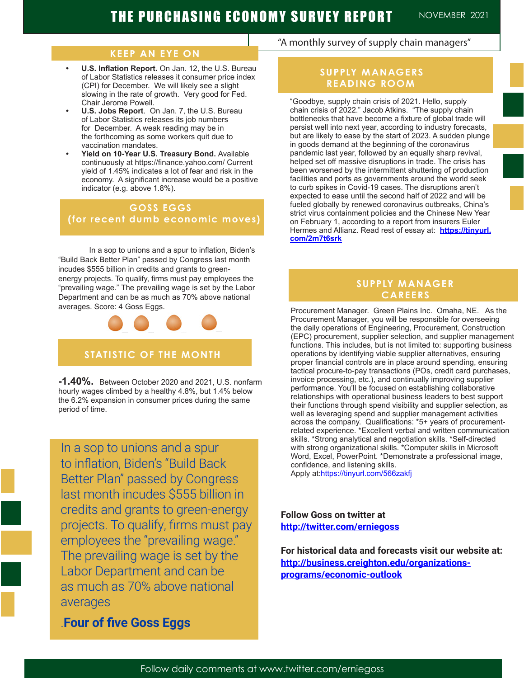### **KEEP AN EYE ON**

- **• U.S. Inflation Report.** On Jan. 12, the U.S. Bureau of Labor Statistics releases it consumer price index (CPI) for December. We will likely see a slight slowing in the rate of growth. Very good for Fed. Chair Jerome Powell.
- **• U.S. Jobs Report**. On Jan. 7, the U.S. Bureau of Labor Statistics releases its job numbers for December. A weak reading may be in the forthcoming as some workers quit due to vaccination mandates.
- **• Yield on 10-Year U.S. Treasury Bond.** Available continuously at https://finance.yahoo.com/ Current yield of 1.45% indicates a lot of fear and risk in the economy. A significant increase would be a positive indicator (e.g. above 1.8%).

## **GOSS EGGS (for recent dumb economic moves)**

In a sop to unions and a spur to inflation, Biden's "Build Back Better Plan" passed by Congress last month incudes \$555 billion in credits and grants to greenenergy projects. To qualify, firms must pay employees the "prevailing wage." The prevailing wage is set by the Labor Department and can be as much as 70% above national averages. Score: 4 Goss Eggs.



**-1.40%.** Between October 2020 and 2021, U.S. nonfarm hourly wages climbed by a healthy 4.8%, but 1.4% below the 6.2% expansion in consumer prices during the same period of time.

In a sop to unions and a spur to inflation, Biden's "Build Back Better Plan" passed by Congress last month incudes \$555 billion in credits and grants to green-energy projects. To qualify, firms must pay employees the "prevailing wage." The prevailing wage is set by the Labor Department and can be as much as 70% above national averages

# .**Four of five Goss Eggs**

## "A monthly survey of supply chain managers"

## **SUPPLY MANAGERS READING ROOM**

"Goodbye, supply chain crisis of 2021. Hello, supply chain crisis of 2022." Jacob Atkins. "The supply chain bottlenecks that have become a fixture of global trade will persist well into next year, according to industry forecasts, but are likely to ease by the start of 2023. A sudden plunge in goods demand at the beginning of the coronavirus pandemic last year, followed by an equally sharp revival, helped set off massive disruptions in trade. The crisis has been worsened by the intermittent shuttering of production facilities and ports as governments around the world seek to curb spikes in Covid-19 cases. The disruptions aren't expected to ease until the second half of 2022 and will be fueled globally by renewed coronavirus outbreaks, China's strict virus containment policies and the Chinese New Year on February 1, according to a report from insurers Euler Hermes and Allianz. Read rest of essay at: **https://tinyurl. com/2m7t6srk**

## **SUPPLY MANAGER CAREERS**

Procurement Manager. Green Plains Inc. Omaha, NE. As the Procurement Manager, you will be responsible for overseeing the daily operations of Engineering, Procurement, Construction (EPC) procurement, supplier selection, and supplier management functions. This includes, but is not limited to: supporting business operations by identifying viable supplier alternatives, ensuring proper financial controls are in place around spending, ensuring tactical procure-to-pay transactions (POs, credit card purchases, invoice processing, etc.), and continually improving supplier performance. You'll be focused on establishing collaborative relationships with operational business leaders to best support their functions through spend visibility and supplier selection, as well as leveraging spend and supplier management activities across the company. Qualifications: \*5+ years of procurementrelated experience. \*Excellent verbal and written communication skills. \*Strong analytical and negotiation skills. \*Self-directed with strong organizational skills. \*Computer skills in Microsoft Word, Excel, PowerPoint. \*Demonstrate a professional image, confidence, and listening skills. Apply at:https://tinyurl.com/566zakfj

**Follow Goss on twitter at http://twitter.com/erniegoss**

**For historical data and forecasts visit our website at: http://business.creighton.edu/organizationsprograms/economic-outlook**